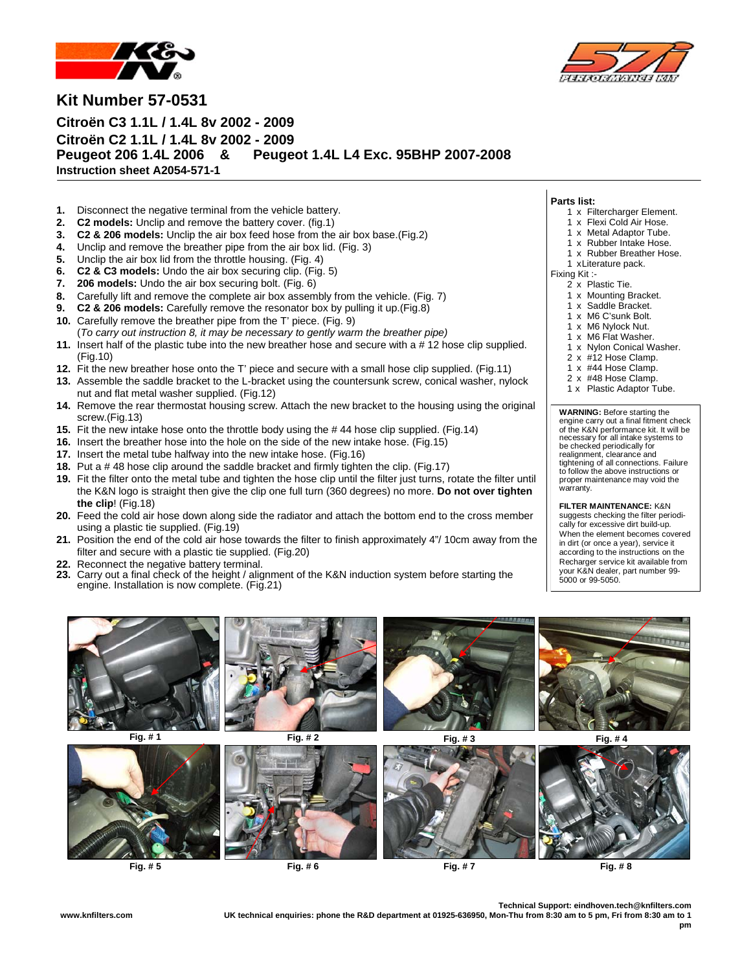



**Kit Number 57-0531** 

**Citroën C3 1.1L / 1.4L 8v 2002 - 2009 Citroën C2 1.1L / 1.4L 8v 2002 - 2009 Peugeot 206 1.4L 2006 & Peugeot 1.4L L4 Exc. 95BHP 2007-2008 Instruction sheet A2054-571-1** 

- **1.** Disconnect the negative terminal from the vehicle battery.
- **2. C2 models:** Unclip and remove the battery cover. (fig.1)
- **3. C2 & 206 models:** Unclip the air box feed hose from the air box base.(Fig.2)
- **4.** Unclip and remove the breather pipe from the air box lid. (Fig. 3)
- **5.** Unclip the air box lid from the throttle housing. (Fig. 4)
- **6. C2 & C3 models:** Undo the air box securing clip. (Fig. 5)
- **7. 206 models:** Undo the air box securing bolt. (Fig. 6)
- **8.** Carefully lift and remove the complete air box assembly from the vehicle. (Fig. 7)
- **9. C2 & 206 models:** Carefully remove the resonator box by pulling it up.(Fig.8)
- **10.** Carefully remove the breather pipe from the T' piece. (Fig. 9)
- (*To carry out instruction 8, it may be necessary to gently warm the breather pipe)* **11.** Insert half of the plastic tube into the new breather hose and secure with a # 12 hose clip supplied. (Fig.10)
- **12.** Fit the new breather hose onto the T' piece and secure with a small hose clip supplied. (Fig.11)
- **13.** Assemble the saddle bracket to the L-bracket using the countersunk screw, conical washer, nylock nut and flat metal washer supplied. (Fig.12)
- **14.** Remove the rear thermostat housing screw. Attach the new bracket to the housing using the original screw.(Fig.13)
- **15.** Fit the new intake hose onto the throttle body using the # 44 hose clip supplied. (Fig.14)
- **16.** Insert the breather hose into the hole on the side of the new intake hose. (Fig.15)
- **17.** Insert the metal tube halfway into the new intake hose. (Fig.16)
- **18.** Put a # 48 hose clip around the saddle bracket and firmly tighten the clip. (Fig.17)
- **19.** Fit the filter onto the metal tube and tighten the hose clip until the filter just turns, rotate the filter until the K&N logo is straight then give the clip one full turn (360 degrees) no more. **Do not over tighten the clip**! (Fig.18)
- **20.** Feed the cold air hose down along side the radiator and attach the bottom end to the cross member using a plastic tie supplied. (Fig.19)
- **21.** Position the end of the cold air hose towards the filter to finish approximately 4"/ 10cm away from the filter and secure with a plastic tie supplied. (Fig.20)
- **22.** Reconnect the negative battery terminal.
- **23.** Carry out a final check of the height / alignment of the K&N induction system before starting the engine. Installation is now complete. (Fig.21)
- **Parts list:** 
	- 1 x Filtercharger Element.
	- 1 x Flexi Cold Air Hose.
	- 1 x Metal Adaptor Tube.
- 1 x Rubber Intake Hose.
- 1 x Rubber Breather Hose.
- 1 x Literature pack.
- Fixing Kit :-
	- 2 x Plastic Tie.
	- 1 x Mounting Bracket.
	- 1 x Saddle Bracket.
	- 1 x M6 C'sunk Bolt.
	- 1 x M6 Nylock Nut.
	- 1 x M6 Flat Washer.
	- 1 x Nylon Conical Washer.
	- 2 x #12 Hose Clamp.
	- 1 x #44 Hose Clamp.
	- 2 x #48 Hose Clamp.
	- 1 x Plastic Adaptor Tube.

**WARNING:** Before starting the engine carry out a final fitment check of the K&N performance kit. It will be necessary for all intake systems to be checked periodically for realignment, clearance and tightening of all connections. Failure to follow the above instructions or proper maintenance may void the warranty.

**FILTER MAINTENANCE:** K&N suggests checking the filter periodically for excessive dirt build-up. When the element becomes covered in dirt (or once a year), service it according to the instructions on the Recharger service kit available from your K&N dealer, part number 99- 5000 or 99-5050.



**Fig. # 5 Fig. # 6 Fig. # 7 Fig. # 8**

**Technical Support: eindhoven.tech@knfilters.com** 

**www.knfilters.com UK technical enquiries: phone the R&D department at 01925-636950, Mon-Thu from 8:30 am to 5 pm, Fri from 8:30 am to 1 pm**